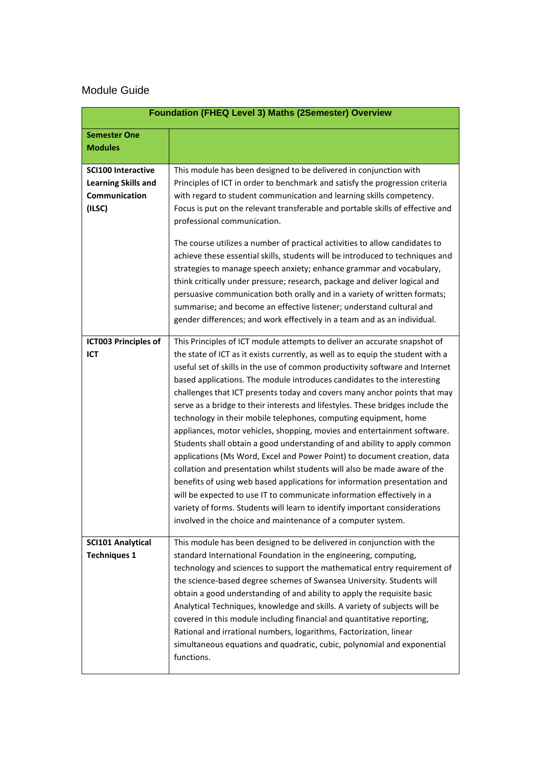## Module Guide

| <b>Foundation (FHEQ Level 3) Maths (2Semester) Overview</b>                               |                                                                                                                                                                                                                                                                                                                                                                                                                                                                                                                                                                                                                                                                                                                                                                                                                                                                                                                                                                                                                                                                                                                                                                                   |
|-------------------------------------------------------------------------------------------|-----------------------------------------------------------------------------------------------------------------------------------------------------------------------------------------------------------------------------------------------------------------------------------------------------------------------------------------------------------------------------------------------------------------------------------------------------------------------------------------------------------------------------------------------------------------------------------------------------------------------------------------------------------------------------------------------------------------------------------------------------------------------------------------------------------------------------------------------------------------------------------------------------------------------------------------------------------------------------------------------------------------------------------------------------------------------------------------------------------------------------------------------------------------------------------|
| <b>Semester One</b><br><b>Modules</b>                                                     |                                                                                                                                                                                                                                                                                                                                                                                                                                                                                                                                                                                                                                                                                                                                                                                                                                                                                                                                                                                                                                                                                                                                                                                   |
| <b>SCI100 Interactive</b><br><b>Learning Skills and</b><br><b>Communication</b><br>(ILSC) | This module has been designed to be delivered in conjunction with<br>Principles of ICT in order to benchmark and satisfy the progression criteria<br>with regard to student communication and learning skills competency.<br>Focus is put on the relevant transferable and portable skills of effective and<br>professional communication.<br>The course utilizes a number of practical activities to allow candidates to<br>achieve these essential skills, students will be introduced to techniques and<br>strategies to manage speech anxiety; enhance grammar and vocabulary,<br>think critically under pressure; research, package and deliver logical and<br>persuasive communication both orally and in a variety of written formats;<br>summarise; and become an effective listener; understand cultural and<br>gender differences; and work effectively in a team and as an individual.                                                                                                                                                                                                                                                                                 |
| <b>ICT003 Principles of</b><br>ICT                                                        | This Principles of ICT module attempts to deliver an accurate snapshot of<br>the state of ICT as it exists currently, as well as to equip the student with a<br>useful set of skills in the use of common productivity software and Internet<br>based applications. The module introduces candidates to the interesting<br>challenges that ICT presents today and covers many anchor points that may<br>serve as a bridge to their interests and lifestyles. These bridges include the<br>technology in their mobile telephones, computing equipment, home<br>appliances, motor vehicles, shopping, movies and entertainment software.<br>Students shall obtain a good understanding of and ability to apply common<br>applications (Ms Word, Excel and Power Point) to document creation, data<br>collation and presentation whilst students will also be made aware of the<br>benefits of using web based applications for information presentation and<br>will be expected to use IT to communicate information effectively in a<br>variety of forms. Students will learn to identify important considerations<br>involved in the choice and maintenance of a computer system. |
| <b>SCI101 Analytical</b><br><b>Techniques 1</b>                                           | This module has been designed to be delivered in conjunction with the<br>standard International Foundation in the engineering, computing,<br>technology and sciences to support the mathematical entry requirement of<br>the science-based degree schemes of Swansea University. Students will<br>obtain a good understanding of and ability to apply the requisite basic<br>Analytical Techniques, knowledge and skills. A variety of subjects will be<br>covered in this module including financial and quantitative reporting,<br>Rational and irrational numbers, logarithms, Factorization, linear<br>simultaneous equations and quadratic, cubic, polynomial and exponential<br>functions.                                                                                                                                                                                                                                                                                                                                                                                                                                                                                  |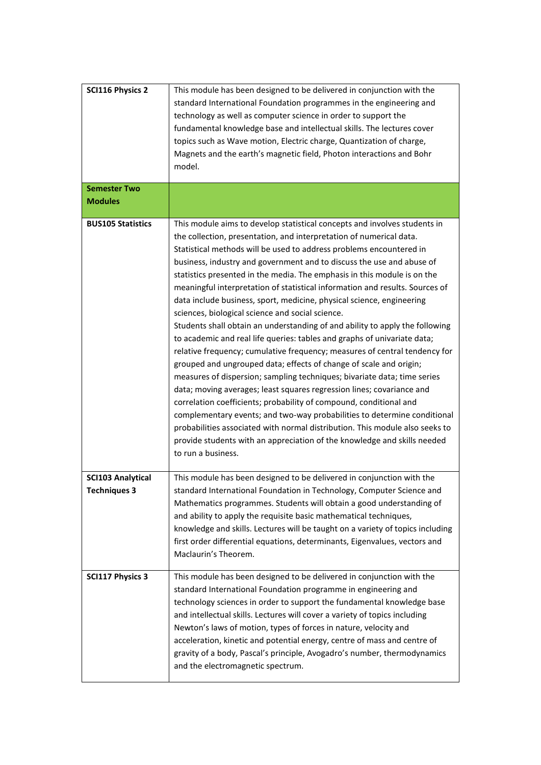| <b>SCI116 Physics 2</b>                         | This module has been designed to be delivered in conjunction with the<br>standard International Foundation programmes in the engineering and<br>technology as well as computer science in order to support the<br>fundamental knowledge base and intellectual skills. The lectures cover<br>topics such as Wave motion, Electric charge, Quantization of charge,<br>Magnets and the earth's magnetic field, Photon interactions and Bohr<br>model.                                                                                                                                                                                                                                                                                                                                                                                                                                                                                                                                                                                                                                                                                                                                                                                                                                                                                                                                                 |
|-------------------------------------------------|----------------------------------------------------------------------------------------------------------------------------------------------------------------------------------------------------------------------------------------------------------------------------------------------------------------------------------------------------------------------------------------------------------------------------------------------------------------------------------------------------------------------------------------------------------------------------------------------------------------------------------------------------------------------------------------------------------------------------------------------------------------------------------------------------------------------------------------------------------------------------------------------------------------------------------------------------------------------------------------------------------------------------------------------------------------------------------------------------------------------------------------------------------------------------------------------------------------------------------------------------------------------------------------------------------------------------------------------------------------------------------------------------|
| <b>Semester Two</b><br><b>Modules</b>           |                                                                                                                                                                                                                                                                                                                                                                                                                                                                                                                                                                                                                                                                                                                                                                                                                                                                                                                                                                                                                                                                                                                                                                                                                                                                                                                                                                                                    |
| <b>BUS105 Statistics</b>                        | This module aims to develop statistical concepts and involves students in<br>the collection, presentation, and interpretation of numerical data.<br>Statistical methods will be used to address problems encountered in<br>business, industry and government and to discuss the use and abuse of<br>statistics presented in the media. The emphasis in this module is on the<br>meaningful interpretation of statistical information and results. Sources of<br>data include business, sport, medicine, physical science, engineering<br>sciences, biological science and social science.<br>Students shall obtain an understanding of and ability to apply the following<br>to academic and real life queries: tables and graphs of univariate data;<br>relative frequency; cumulative frequency; measures of central tendency for<br>grouped and ungrouped data; effects of change of scale and origin;<br>measures of dispersion; sampling techniques; bivariate data; time series<br>data; moving averages; least squares regression lines; covariance and<br>correlation coefficients; probability of compound, conditional and<br>complementary events; and two-way probabilities to determine conditional<br>probabilities associated with normal distribution. This module also seeks to<br>provide students with an appreciation of the knowledge and skills needed<br>to run a business. |
| <b>SCI103 Analytical</b><br><b>Techniques 3</b> | This module has been designed to be delivered in conjunction with the<br>standard International Foundation in Technology, Computer Science and<br>Mathematics programmes. Students will obtain a good understanding of<br>and ability to apply the requisite basic mathematical techniques,<br>knowledge and skills. Lectures will be taught on a variety of topics including<br>first order differential equations, determinants, Eigenvalues, vectors and<br>Maclaurin's Theorem.                                                                                                                                                                                                                                                                                                                                                                                                                                                                                                                                                                                                                                                                                                                                                                                                                                                                                                                |
| <b>SCI117 Physics 3</b>                         | This module has been designed to be delivered in conjunction with the<br>standard International Foundation programme in engineering and<br>technology sciences in order to support the fundamental knowledge base<br>and intellectual skills. Lectures will cover a variety of topics including<br>Newton's laws of motion, types of forces in nature, velocity and<br>acceleration, kinetic and potential energy, centre of mass and centre of<br>gravity of a body, Pascal's principle, Avogadro's number, thermodynamics<br>and the electromagnetic spectrum.                                                                                                                                                                                                                                                                                                                                                                                                                                                                                                                                                                                                                                                                                                                                                                                                                                   |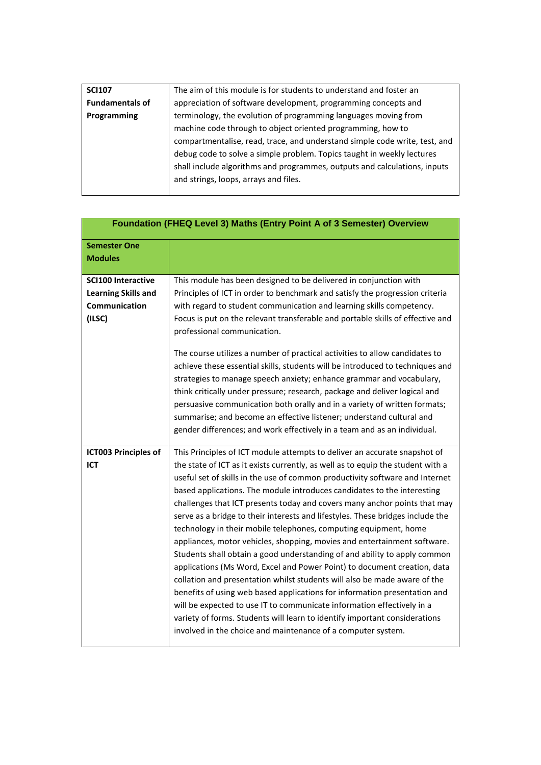| <b>SCI107</b>          | The aim of this module is for students to understand and foster an         |
|------------------------|----------------------------------------------------------------------------|
| <b>Fundamentals of</b> | appreciation of software development, programming concepts and             |
| Programming            | terminology, the evolution of programming languages moving from            |
|                        | machine code through to object oriented programming, how to                |
|                        | compartmentalise, read, trace, and understand simple code write, test, and |
|                        | debug code to solve a simple problem. Topics taught in weekly lectures     |
|                        | shall include algorithms and programmes, outputs and calculations, inputs  |
|                        | and strings, loops, arrays and files.                                      |
|                        |                                                                            |

| Foundation (FHEQ Level 3) Maths (Entry Point A of 3 Semester) Overview             |                                                                                                                                                                                                                                                                                                                                                                                                                                                                                                                                                                                                                                                                                                                                                                                                                                                                                                                                                                                                                                                                                                                                                                                   |
|------------------------------------------------------------------------------------|-----------------------------------------------------------------------------------------------------------------------------------------------------------------------------------------------------------------------------------------------------------------------------------------------------------------------------------------------------------------------------------------------------------------------------------------------------------------------------------------------------------------------------------------------------------------------------------------------------------------------------------------------------------------------------------------------------------------------------------------------------------------------------------------------------------------------------------------------------------------------------------------------------------------------------------------------------------------------------------------------------------------------------------------------------------------------------------------------------------------------------------------------------------------------------------|
| <b>Semester One</b><br><b>Modules</b>                                              |                                                                                                                                                                                                                                                                                                                                                                                                                                                                                                                                                                                                                                                                                                                                                                                                                                                                                                                                                                                                                                                                                                                                                                                   |
| <b>SCI100 Interactive</b><br><b>Learning Skills and</b><br>Communication<br>(ILSC) | This module has been designed to be delivered in conjunction with<br>Principles of ICT in order to benchmark and satisfy the progression criteria<br>with regard to student communication and learning skills competency.<br>Focus is put on the relevant transferable and portable skills of effective and<br>professional communication.                                                                                                                                                                                                                                                                                                                                                                                                                                                                                                                                                                                                                                                                                                                                                                                                                                        |
|                                                                                    | The course utilizes a number of practical activities to allow candidates to<br>achieve these essential skills, students will be introduced to techniques and<br>strategies to manage speech anxiety; enhance grammar and vocabulary,<br>think critically under pressure; research, package and deliver logical and<br>persuasive communication both orally and in a variety of written formats;<br>summarise; and become an effective listener; understand cultural and<br>gender differences; and work effectively in a team and as an individual.                                                                                                                                                                                                                                                                                                                                                                                                                                                                                                                                                                                                                               |
| <b>ICT003 Principles of</b><br>ICT                                                 | This Principles of ICT module attempts to deliver an accurate snapshot of<br>the state of ICT as it exists currently, as well as to equip the student with a<br>useful set of skills in the use of common productivity software and Internet<br>based applications. The module introduces candidates to the interesting<br>challenges that ICT presents today and covers many anchor points that may<br>serve as a bridge to their interests and lifestyles. These bridges include the<br>technology in their mobile telephones, computing equipment, home<br>appliances, motor vehicles, shopping, movies and entertainment software.<br>Students shall obtain a good understanding of and ability to apply common<br>applications (Ms Word, Excel and Power Point) to document creation, data<br>collation and presentation whilst students will also be made aware of the<br>benefits of using web based applications for information presentation and<br>will be expected to use IT to communicate information effectively in a<br>variety of forms. Students will learn to identify important considerations<br>involved in the choice and maintenance of a computer system. |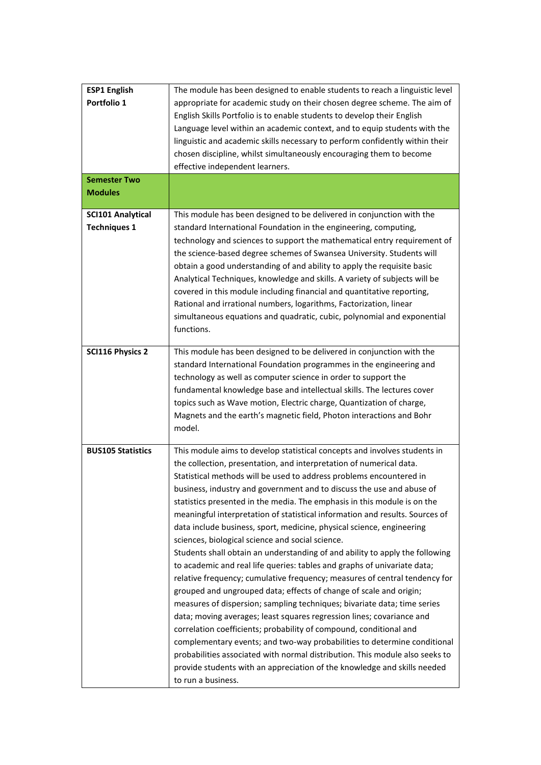| <b>ESP1 English</b><br>Portfolio 1<br><b>Semester Two</b> | The module has been designed to enable students to reach a linguistic level<br>appropriate for academic study on their chosen degree scheme. The aim of<br>English Skills Portfolio is to enable students to develop their English<br>Language level within an academic context, and to equip students with the<br>linguistic and academic skills necessary to perform confidently within their<br>chosen discipline, whilst simultaneously encouraging them to become<br>effective independent learners.                                                                                                                                                                                                                                                                                                                                                                                                                                                                                                                                                                                                                                                                                                                                                                                                                                                                                          |
|-----------------------------------------------------------|----------------------------------------------------------------------------------------------------------------------------------------------------------------------------------------------------------------------------------------------------------------------------------------------------------------------------------------------------------------------------------------------------------------------------------------------------------------------------------------------------------------------------------------------------------------------------------------------------------------------------------------------------------------------------------------------------------------------------------------------------------------------------------------------------------------------------------------------------------------------------------------------------------------------------------------------------------------------------------------------------------------------------------------------------------------------------------------------------------------------------------------------------------------------------------------------------------------------------------------------------------------------------------------------------------------------------------------------------------------------------------------------------|
| <b>Modules</b>                                            |                                                                                                                                                                                                                                                                                                                                                                                                                                                                                                                                                                                                                                                                                                                                                                                                                                                                                                                                                                                                                                                                                                                                                                                                                                                                                                                                                                                                    |
| <b>SCI101 Analytical</b><br><b>Techniques 1</b>           | This module has been designed to be delivered in conjunction with the<br>standard International Foundation in the engineering, computing,<br>technology and sciences to support the mathematical entry requirement of<br>the science-based degree schemes of Swansea University. Students will<br>obtain a good understanding of and ability to apply the requisite basic<br>Analytical Techniques, knowledge and skills. A variety of subjects will be<br>covered in this module including financial and quantitative reporting,<br>Rational and irrational numbers, logarithms, Factorization, linear<br>simultaneous equations and quadratic, cubic, polynomial and exponential<br>functions.                                                                                                                                                                                                                                                                                                                                                                                                                                                                                                                                                                                                                                                                                                   |
| <b>SCI116 Physics 2</b>                                   | This module has been designed to be delivered in conjunction with the<br>standard International Foundation programmes in the engineering and<br>technology as well as computer science in order to support the<br>fundamental knowledge base and intellectual skills. The lectures cover<br>topics such as Wave motion, Electric charge, Quantization of charge,<br>Magnets and the earth's magnetic field, Photon interactions and Bohr<br>model.                                                                                                                                                                                                                                                                                                                                                                                                                                                                                                                                                                                                                                                                                                                                                                                                                                                                                                                                                 |
| <b>BUS105 Statistics</b>                                  | This module aims to develop statistical concepts and involves students in<br>the collection, presentation, and interpretation of numerical data.<br>Statistical methods will be used to address problems encountered in<br>business, industry and government and to discuss the use and abuse of<br>statistics presented in the media. The emphasis in this module is on the<br>meaningful interpretation of statistical information and results. Sources of<br>data include business, sport, medicine, physical science, engineering<br>sciences, biological science and social science.<br>Students shall obtain an understanding of and ability to apply the following<br>to academic and real life queries: tables and graphs of univariate data;<br>relative frequency; cumulative frequency; measures of central tendency for<br>grouped and ungrouped data; effects of change of scale and origin;<br>measures of dispersion; sampling techniques; bivariate data; time series<br>data; moving averages; least squares regression lines; covariance and<br>correlation coefficients; probability of compound, conditional and<br>complementary events; and two-way probabilities to determine conditional<br>probabilities associated with normal distribution. This module also seeks to<br>provide students with an appreciation of the knowledge and skills needed<br>to run a business. |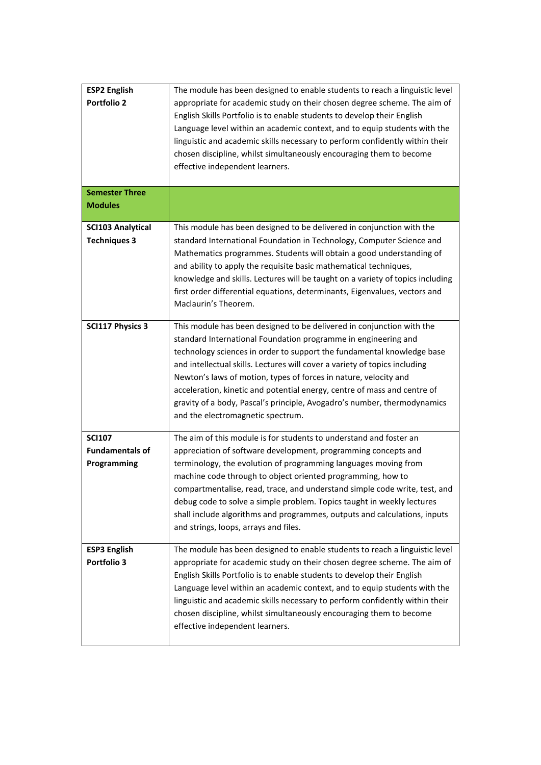| <b>ESP2 English</b><br><b>Portfolio 2</b>              | The module has been designed to enable students to reach a linguistic level<br>appropriate for academic study on their chosen degree scheme. The aim of<br>English Skills Portfolio is to enable students to develop their English<br>Language level within an academic context, and to equip students with the<br>linguistic and academic skills necessary to perform confidently within their<br>chosen discipline, whilst simultaneously encouraging them to become<br>effective independent learners.                                                        |
|--------------------------------------------------------|------------------------------------------------------------------------------------------------------------------------------------------------------------------------------------------------------------------------------------------------------------------------------------------------------------------------------------------------------------------------------------------------------------------------------------------------------------------------------------------------------------------------------------------------------------------|
| <b>Semester Three</b><br><b>Modules</b>                |                                                                                                                                                                                                                                                                                                                                                                                                                                                                                                                                                                  |
| <b>SCI103 Analytical</b><br><b>Techniques 3</b>        | This module has been designed to be delivered in conjunction with the<br>standard International Foundation in Technology, Computer Science and<br>Mathematics programmes. Students will obtain a good understanding of<br>and ability to apply the requisite basic mathematical techniques,<br>knowledge and skills. Lectures will be taught on a variety of topics including<br>first order differential equations, determinants, Eigenvalues, vectors and<br>Maclaurin's Theorem.                                                                              |
| <b>SCI117 Physics 3</b>                                | This module has been designed to be delivered in conjunction with the<br>standard International Foundation programme in engineering and<br>technology sciences in order to support the fundamental knowledge base<br>and intellectual skills. Lectures will cover a variety of topics including<br>Newton's laws of motion, types of forces in nature, velocity and<br>acceleration, kinetic and potential energy, centre of mass and centre of<br>gravity of a body, Pascal's principle, Avogadro's number, thermodynamics<br>and the electromagnetic spectrum. |
| <b>SCI107</b><br><b>Fundamentals of</b><br>Programming | The aim of this module is for students to understand and foster an<br>appreciation of software development, programming concepts and<br>terminology, the evolution of programming languages moving from<br>machine code through to object oriented programming, how to<br>compartmentalise, read, trace, and understand simple code write, test, and<br>debug code to solve a simple problem. Topics taught in weekly lectures<br>shall include algorithms and programmes, outputs and calculations, inputs<br>and strings, loops, arrays and files.             |
| <b>ESP3 English</b><br>Portfolio 3                     | The module has been designed to enable students to reach a linguistic level<br>appropriate for academic study on their chosen degree scheme. The aim of<br>English Skills Portfolio is to enable students to develop their English<br>Language level within an academic context, and to equip students with the<br>linguistic and academic skills necessary to perform confidently within their<br>chosen discipline, whilst simultaneously encouraging them to become<br>effective independent learners.                                                        |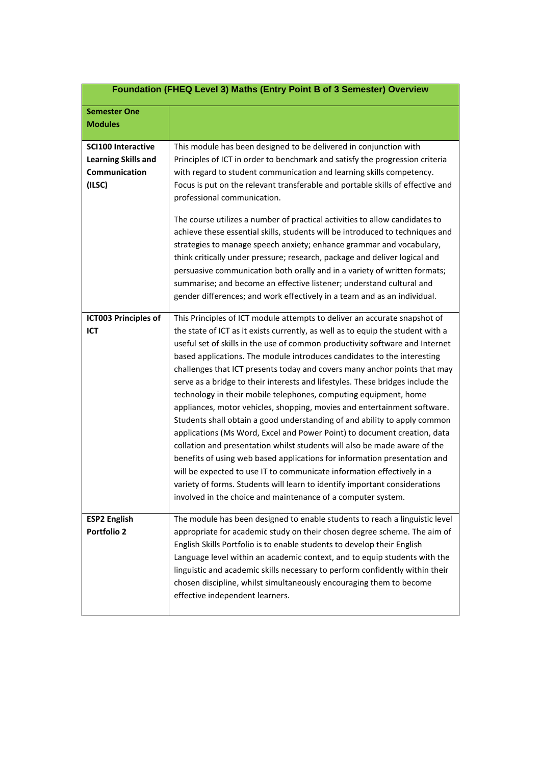|                                                                                    | Foundation (FHEQ Level 3) Maths (Entry Point B of 3 Semester) Overview                                                                                                                                                                                                                                                                                                                                                                                                                                                                                                                                                                                                                                                                                                                                                                                                                                                                                                                                                                                                                                                                                                            |
|------------------------------------------------------------------------------------|-----------------------------------------------------------------------------------------------------------------------------------------------------------------------------------------------------------------------------------------------------------------------------------------------------------------------------------------------------------------------------------------------------------------------------------------------------------------------------------------------------------------------------------------------------------------------------------------------------------------------------------------------------------------------------------------------------------------------------------------------------------------------------------------------------------------------------------------------------------------------------------------------------------------------------------------------------------------------------------------------------------------------------------------------------------------------------------------------------------------------------------------------------------------------------------|
| <b>Semester One</b><br><b>Modules</b>                                              |                                                                                                                                                                                                                                                                                                                                                                                                                                                                                                                                                                                                                                                                                                                                                                                                                                                                                                                                                                                                                                                                                                                                                                                   |
| <b>SCI100 Interactive</b><br><b>Learning Skills and</b><br>Communication<br>(ILSC) | This module has been designed to be delivered in conjunction with<br>Principles of ICT in order to benchmark and satisfy the progression criteria<br>with regard to student communication and learning skills competency.<br>Focus is put on the relevant transferable and portable skills of effective and<br>professional communication.<br>The course utilizes a number of practical activities to allow candidates to<br>achieve these essential skills, students will be introduced to techniques and<br>strategies to manage speech anxiety; enhance grammar and vocabulary,<br>think critically under pressure; research, package and deliver logical and<br>persuasive communication both orally and in a variety of written formats;<br>summarise; and become an effective listener; understand cultural and<br>gender differences; and work effectively in a team and as an individual.                                                                                                                                                                                                                                                                                 |
| <b>ICT003 Principles of</b><br>ICT                                                 | This Principles of ICT module attempts to deliver an accurate snapshot of<br>the state of ICT as it exists currently, as well as to equip the student with a<br>useful set of skills in the use of common productivity software and Internet<br>based applications. The module introduces candidates to the interesting<br>challenges that ICT presents today and covers many anchor points that may<br>serve as a bridge to their interests and lifestyles. These bridges include the<br>technology in their mobile telephones, computing equipment, home<br>appliances, motor vehicles, shopping, movies and entertainment software.<br>Students shall obtain a good understanding of and ability to apply common<br>applications (Ms Word, Excel and Power Point) to document creation, data<br>collation and presentation whilst students will also be made aware of the<br>benefits of using web based applications for information presentation and<br>will be expected to use IT to communicate information effectively in a<br>variety of forms. Students will learn to identify important considerations<br>involved in the choice and maintenance of a computer system. |
| <b>ESP2 English</b><br><b>Portfolio 2</b>                                          | The module has been designed to enable students to reach a linguistic level<br>appropriate for academic study on their chosen degree scheme. The aim of<br>English Skills Portfolio is to enable students to develop their English<br>Language level within an academic context, and to equip students with the<br>linguistic and academic skills necessary to perform confidently within their<br>chosen discipline, whilst simultaneously encouraging them to become<br>effective independent learners.                                                                                                                                                                                                                                                                                                                                                                                                                                                                                                                                                                                                                                                                         |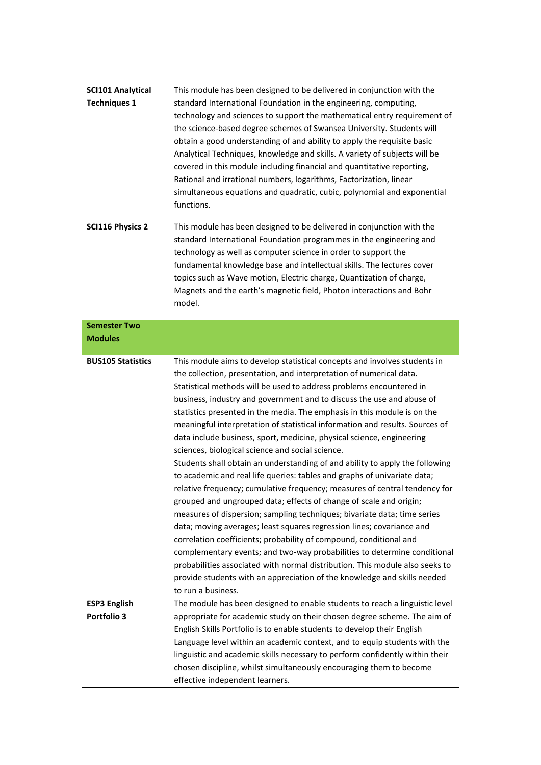| <b>Techniques 1</b><br>standard International Foundation in the engineering, computing,<br>technology and sciences to support the mathematical entry requirement of<br>the science-based degree schemes of Swansea University. Students will<br>obtain a good understanding of and ability to apply the requisite basic<br>Analytical Techniques, knowledge and skills. A variety of subjects will be<br>covered in this module including financial and quantitative reporting,<br>Rational and irrational numbers, logarithms, Factorization, linear<br>simultaneous equations and quadratic, cubic, polynomial and exponential<br>functions.<br><b>SCI116 Physics 2</b><br>This module has been designed to be delivered in conjunction with the<br>standard International Foundation programmes in the engineering and<br>technology as well as computer science in order to support the<br>fundamental knowledge base and intellectual skills. The lectures cover<br>topics such as Wave motion, Electric charge, Quantization of charge,<br>Magnets and the earth's magnetic field, Photon interactions and Bohr<br>model.<br><b>Semester Two</b><br><b>Modules</b><br><b>BUS105 Statistics</b><br>This module aims to develop statistical concepts and involves students in<br>the collection, presentation, and interpretation of numerical data.<br>Statistical methods will be used to address problems encountered in<br>business, industry and government and to discuss the use and abuse of<br>statistics presented in the media. The emphasis in this module is on the<br>meaningful interpretation of statistical information and results. Sources of<br>data include business, sport, medicine, physical science, engineering<br>sciences, biological science and social science.<br>Students shall obtain an understanding of and ability to apply the following<br>to academic and real life queries: tables and graphs of univariate data;<br>relative frequency; cumulative frequency; measures of central tendency for<br>grouped and ungrouped data; effects of change of scale and origin;<br>measures of dispersion; sampling techniques; bivariate data; time series<br>data; moving averages; least squares regression lines; covariance and<br>correlation coefficients; probability of compound, conditional and<br>complementary events; and two-way probabilities to determine conditional<br>probabilities associated with normal distribution. This module also seeks to<br>provide students with an appreciation of the knowledge and skills needed<br>to run a business.<br>The module has been designed to enable students to reach a linguistic level<br><b>ESP3 English</b><br>Portfolio 3<br>appropriate for academic study on their chosen degree scheme. The aim of<br>English Skills Portfolio is to enable students to develop their English<br>Language level within an academic context, and to equip students with the<br>linguistic and academic skills necessary to perform confidently within their<br>chosen discipline, whilst simultaneously encouraging them to become<br>effective independent learners. | <b>SCI101 Analytical</b> | This module has been designed to be delivered in conjunction with the |
|---------------------------------------------------------------------------------------------------------------------------------------------------------------------------------------------------------------------------------------------------------------------------------------------------------------------------------------------------------------------------------------------------------------------------------------------------------------------------------------------------------------------------------------------------------------------------------------------------------------------------------------------------------------------------------------------------------------------------------------------------------------------------------------------------------------------------------------------------------------------------------------------------------------------------------------------------------------------------------------------------------------------------------------------------------------------------------------------------------------------------------------------------------------------------------------------------------------------------------------------------------------------------------------------------------------------------------------------------------------------------------------------------------------------------------------------------------------------------------------------------------------------------------------------------------------------------------------------------------------------------------------------------------------------------------------------------------------------------------------------------------------------------------------------------------------------------------------------------------------------------------------------------------------------------------------------------------------------------------------------------------------------------------------------------------------------------------------------------------------------------------------------------------------------------------------------------------------------------------------------------------------------------------------------------------------------------------------------------------------------------------------------------------------------------------------------------------------------------------------------------------------------------------------------------------------------------------------------------------------------------------------------------------------------------------------------------------------------------------------------------------------------------------------------------------------------------------------------------------------------------------------------------------------------------------------------------------------------------------------------------------------------------------------------------------------------------------------------------------------------------------------------------------------|--------------------------|-----------------------------------------------------------------------|
|                                                                                                                                                                                                                                                                                                                                                                                                                                                                                                                                                                                                                                                                                                                                                                                                                                                                                                                                                                                                                                                                                                                                                                                                                                                                                                                                                                                                                                                                                                                                                                                                                                                                                                                                                                                                                                                                                                                                                                                                                                                                                                                                                                                                                                                                                                                                                                                                                                                                                                                                                                                                                                                                                                                                                                                                                                                                                                                                                                                                                                                                                                                                                               |                          |                                                                       |
|                                                                                                                                                                                                                                                                                                                                                                                                                                                                                                                                                                                                                                                                                                                                                                                                                                                                                                                                                                                                                                                                                                                                                                                                                                                                                                                                                                                                                                                                                                                                                                                                                                                                                                                                                                                                                                                                                                                                                                                                                                                                                                                                                                                                                                                                                                                                                                                                                                                                                                                                                                                                                                                                                                                                                                                                                                                                                                                                                                                                                                                                                                                                                               |                          |                                                                       |
|                                                                                                                                                                                                                                                                                                                                                                                                                                                                                                                                                                                                                                                                                                                                                                                                                                                                                                                                                                                                                                                                                                                                                                                                                                                                                                                                                                                                                                                                                                                                                                                                                                                                                                                                                                                                                                                                                                                                                                                                                                                                                                                                                                                                                                                                                                                                                                                                                                                                                                                                                                                                                                                                                                                                                                                                                                                                                                                                                                                                                                                                                                                                                               |                          |                                                                       |
|                                                                                                                                                                                                                                                                                                                                                                                                                                                                                                                                                                                                                                                                                                                                                                                                                                                                                                                                                                                                                                                                                                                                                                                                                                                                                                                                                                                                                                                                                                                                                                                                                                                                                                                                                                                                                                                                                                                                                                                                                                                                                                                                                                                                                                                                                                                                                                                                                                                                                                                                                                                                                                                                                                                                                                                                                                                                                                                                                                                                                                                                                                                                                               |                          |                                                                       |
|                                                                                                                                                                                                                                                                                                                                                                                                                                                                                                                                                                                                                                                                                                                                                                                                                                                                                                                                                                                                                                                                                                                                                                                                                                                                                                                                                                                                                                                                                                                                                                                                                                                                                                                                                                                                                                                                                                                                                                                                                                                                                                                                                                                                                                                                                                                                                                                                                                                                                                                                                                                                                                                                                                                                                                                                                                                                                                                                                                                                                                                                                                                                                               |                          |                                                                       |
|                                                                                                                                                                                                                                                                                                                                                                                                                                                                                                                                                                                                                                                                                                                                                                                                                                                                                                                                                                                                                                                                                                                                                                                                                                                                                                                                                                                                                                                                                                                                                                                                                                                                                                                                                                                                                                                                                                                                                                                                                                                                                                                                                                                                                                                                                                                                                                                                                                                                                                                                                                                                                                                                                                                                                                                                                                                                                                                                                                                                                                                                                                                                                               |                          |                                                                       |
|                                                                                                                                                                                                                                                                                                                                                                                                                                                                                                                                                                                                                                                                                                                                                                                                                                                                                                                                                                                                                                                                                                                                                                                                                                                                                                                                                                                                                                                                                                                                                                                                                                                                                                                                                                                                                                                                                                                                                                                                                                                                                                                                                                                                                                                                                                                                                                                                                                                                                                                                                                                                                                                                                                                                                                                                                                                                                                                                                                                                                                                                                                                                                               |                          |                                                                       |
|                                                                                                                                                                                                                                                                                                                                                                                                                                                                                                                                                                                                                                                                                                                                                                                                                                                                                                                                                                                                                                                                                                                                                                                                                                                                                                                                                                                                                                                                                                                                                                                                                                                                                                                                                                                                                                                                                                                                                                                                                                                                                                                                                                                                                                                                                                                                                                                                                                                                                                                                                                                                                                                                                                                                                                                                                                                                                                                                                                                                                                                                                                                                                               |                          |                                                                       |
|                                                                                                                                                                                                                                                                                                                                                                                                                                                                                                                                                                                                                                                                                                                                                                                                                                                                                                                                                                                                                                                                                                                                                                                                                                                                                                                                                                                                                                                                                                                                                                                                                                                                                                                                                                                                                                                                                                                                                                                                                                                                                                                                                                                                                                                                                                                                                                                                                                                                                                                                                                                                                                                                                                                                                                                                                                                                                                                                                                                                                                                                                                                                                               |                          |                                                                       |
|                                                                                                                                                                                                                                                                                                                                                                                                                                                                                                                                                                                                                                                                                                                                                                                                                                                                                                                                                                                                                                                                                                                                                                                                                                                                                                                                                                                                                                                                                                                                                                                                                                                                                                                                                                                                                                                                                                                                                                                                                                                                                                                                                                                                                                                                                                                                                                                                                                                                                                                                                                                                                                                                                                                                                                                                                                                                                                                                                                                                                                                                                                                                                               |                          |                                                                       |
|                                                                                                                                                                                                                                                                                                                                                                                                                                                                                                                                                                                                                                                                                                                                                                                                                                                                                                                                                                                                                                                                                                                                                                                                                                                                                                                                                                                                                                                                                                                                                                                                                                                                                                                                                                                                                                                                                                                                                                                                                                                                                                                                                                                                                                                                                                                                                                                                                                                                                                                                                                                                                                                                                                                                                                                                                                                                                                                                                                                                                                                                                                                                                               |                          |                                                                       |
|                                                                                                                                                                                                                                                                                                                                                                                                                                                                                                                                                                                                                                                                                                                                                                                                                                                                                                                                                                                                                                                                                                                                                                                                                                                                                                                                                                                                                                                                                                                                                                                                                                                                                                                                                                                                                                                                                                                                                                                                                                                                                                                                                                                                                                                                                                                                                                                                                                                                                                                                                                                                                                                                                                                                                                                                                                                                                                                                                                                                                                                                                                                                                               |                          |                                                                       |
|                                                                                                                                                                                                                                                                                                                                                                                                                                                                                                                                                                                                                                                                                                                                                                                                                                                                                                                                                                                                                                                                                                                                                                                                                                                                                                                                                                                                                                                                                                                                                                                                                                                                                                                                                                                                                                                                                                                                                                                                                                                                                                                                                                                                                                                                                                                                                                                                                                                                                                                                                                                                                                                                                                                                                                                                                                                                                                                                                                                                                                                                                                                                                               |                          |                                                                       |
|                                                                                                                                                                                                                                                                                                                                                                                                                                                                                                                                                                                                                                                                                                                                                                                                                                                                                                                                                                                                                                                                                                                                                                                                                                                                                                                                                                                                                                                                                                                                                                                                                                                                                                                                                                                                                                                                                                                                                                                                                                                                                                                                                                                                                                                                                                                                                                                                                                                                                                                                                                                                                                                                                                                                                                                                                                                                                                                                                                                                                                                                                                                                                               |                          |                                                                       |
|                                                                                                                                                                                                                                                                                                                                                                                                                                                                                                                                                                                                                                                                                                                                                                                                                                                                                                                                                                                                                                                                                                                                                                                                                                                                                                                                                                                                                                                                                                                                                                                                                                                                                                                                                                                                                                                                                                                                                                                                                                                                                                                                                                                                                                                                                                                                                                                                                                                                                                                                                                                                                                                                                                                                                                                                                                                                                                                                                                                                                                                                                                                                                               |                          |                                                                       |
|                                                                                                                                                                                                                                                                                                                                                                                                                                                                                                                                                                                                                                                                                                                                                                                                                                                                                                                                                                                                                                                                                                                                                                                                                                                                                                                                                                                                                                                                                                                                                                                                                                                                                                                                                                                                                                                                                                                                                                                                                                                                                                                                                                                                                                                                                                                                                                                                                                                                                                                                                                                                                                                                                                                                                                                                                                                                                                                                                                                                                                                                                                                                                               |                          |                                                                       |
|                                                                                                                                                                                                                                                                                                                                                                                                                                                                                                                                                                                                                                                                                                                                                                                                                                                                                                                                                                                                                                                                                                                                                                                                                                                                                                                                                                                                                                                                                                                                                                                                                                                                                                                                                                                                                                                                                                                                                                                                                                                                                                                                                                                                                                                                                                                                                                                                                                                                                                                                                                                                                                                                                                                                                                                                                                                                                                                                                                                                                                                                                                                                                               |                          |                                                                       |
|                                                                                                                                                                                                                                                                                                                                                                                                                                                                                                                                                                                                                                                                                                                                                                                                                                                                                                                                                                                                                                                                                                                                                                                                                                                                                                                                                                                                                                                                                                                                                                                                                                                                                                                                                                                                                                                                                                                                                                                                                                                                                                                                                                                                                                                                                                                                                                                                                                                                                                                                                                                                                                                                                                                                                                                                                                                                                                                                                                                                                                                                                                                                                               |                          |                                                                       |
|                                                                                                                                                                                                                                                                                                                                                                                                                                                                                                                                                                                                                                                                                                                                                                                                                                                                                                                                                                                                                                                                                                                                                                                                                                                                                                                                                                                                                                                                                                                                                                                                                                                                                                                                                                                                                                                                                                                                                                                                                                                                                                                                                                                                                                                                                                                                                                                                                                                                                                                                                                                                                                                                                                                                                                                                                                                                                                                                                                                                                                                                                                                                                               |                          |                                                                       |
|                                                                                                                                                                                                                                                                                                                                                                                                                                                                                                                                                                                                                                                                                                                                                                                                                                                                                                                                                                                                                                                                                                                                                                                                                                                                                                                                                                                                                                                                                                                                                                                                                                                                                                                                                                                                                                                                                                                                                                                                                                                                                                                                                                                                                                                                                                                                                                                                                                                                                                                                                                                                                                                                                                                                                                                                                                                                                                                                                                                                                                                                                                                                                               |                          |                                                                       |
|                                                                                                                                                                                                                                                                                                                                                                                                                                                                                                                                                                                                                                                                                                                                                                                                                                                                                                                                                                                                                                                                                                                                                                                                                                                                                                                                                                                                                                                                                                                                                                                                                                                                                                                                                                                                                                                                                                                                                                                                                                                                                                                                                                                                                                                                                                                                                                                                                                                                                                                                                                                                                                                                                                                                                                                                                                                                                                                                                                                                                                                                                                                                                               |                          |                                                                       |
|                                                                                                                                                                                                                                                                                                                                                                                                                                                                                                                                                                                                                                                                                                                                                                                                                                                                                                                                                                                                                                                                                                                                                                                                                                                                                                                                                                                                                                                                                                                                                                                                                                                                                                                                                                                                                                                                                                                                                                                                                                                                                                                                                                                                                                                                                                                                                                                                                                                                                                                                                                                                                                                                                                                                                                                                                                                                                                                                                                                                                                                                                                                                                               |                          |                                                                       |
|                                                                                                                                                                                                                                                                                                                                                                                                                                                                                                                                                                                                                                                                                                                                                                                                                                                                                                                                                                                                                                                                                                                                                                                                                                                                                                                                                                                                                                                                                                                                                                                                                                                                                                                                                                                                                                                                                                                                                                                                                                                                                                                                                                                                                                                                                                                                                                                                                                                                                                                                                                                                                                                                                                                                                                                                                                                                                                                                                                                                                                                                                                                                                               |                          |                                                                       |
|                                                                                                                                                                                                                                                                                                                                                                                                                                                                                                                                                                                                                                                                                                                                                                                                                                                                                                                                                                                                                                                                                                                                                                                                                                                                                                                                                                                                                                                                                                                                                                                                                                                                                                                                                                                                                                                                                                                                                                                                                                                                                                                                                                                                                                                                                                                                                                                                                                                                                                                                                                                                                                                                                                                                                                                                                                                                                                                                                                                                                                                                                                                                                               |                          |                                                                       |
|                                                                                                                                                                                                                                                                                                                                                                                                                                                                                                                                                                                                                                                                                                                                                                                                                                                                                                                                                                                                                                                                                                                                                                                                                                                                                                                                                                                                                                                                                                                                                                                                                                                                                                                                                                                                                                                                                                                                                                                                                                                                                                                                                                                                                                                                                                                                                                                                                                                                                                                                                                                                                                                                                                                                                                                                                                                                                                                                                                                                                                                                                                                                                               |                          |                                                                       |
|                                                                                                                                                                                                                                                                                                                                                                                                                                                                                                                                                                                                                                                                                                                                                                                                                                                                                                                                                                                                                                                                                                                                                                                                                                                                                                                                                                                                                                                                                                                                                                                                                                                                                                                                                                                                                                                                                                                                                                                                                                                                                                                                                                                                                                                                                                                                                                                                                                                                                                                                                                                                                                                                                                                                                                                                                                                                                                                                                                                                                                                                                                                                                               |                          |                                                                       |
|                                                                                                                                                                                                                                                                                                                                                                                                                                                                                                                                                                                                                                                                                                                                                                                                                                                                                                                                                                                                                                                                                                                                                                                                                                                                                                                                                                                                                                                                                                                                                                                                                                                                                                                                                                                                                                                                                                                                                                                                                                                                                                                                                                                                                                                                                                                                                                                                                                                                                                                                                                                                                                                                                                                                                                                                                                                                                                                                                                                                                                                                                                                                                               |                          |                                                                       |
|                                                                                                                                                                                                                                                                                                                                                                                                                                                                                                                                                                                                                                                                                                                                                                                                                                                                                                                                                                                                                                                                                                                                                                                                                                                                                                                                                                                                                                                                                                                                                                                                                                                                                                                                                                                                                                                                                                                                                                                                                                                                                                                                                                                                                                                                                                                                                                                                                                                                                                                                                                                                                                                                                                                                                                                                                                                                                                                                                                                                                                                                                                                                                               |                          |                                                                       |
|                                                                                                                                                                                                                                                                                                                                                                                                                                                                                                                                                                                                                                                                                                                                                                                                                                                                                                                                                                                                                                                                                                                                                                                                                                                                                                                                                                                                                                                                                                                                                                                                                                                                                                                                                                                                                                                                                                                                                                                                                                                                                                                                                                                                                                                                                                                                                                                                                                                                                                                                                                                                                                                                                                                                                                                                                                                                                                                                                                                                                                                                                                                                                               |                          |                                                                       |
|                                                                                                                                                                                                                                                                                                                                                                                                                                                                                                                                                                                                                                                                                                                                                                                                                                                                                                                                                                                                                                                                                                                                                                                                                                                                                                                                                                                                                                                                                                                                                                                                                                                                                                                                                                                                                                                                                                                                                                                                                                                                                                                                                                                                                                                                                                                                                                                                                                                                                                                                                                                                                                                                                                                                                                                                                                                                                                                                                                                                                                                                                                                                                               |                          |                                                                       |
|                                                                                                                                                                                                                                                                                                                                                                                                                                                                                                                                                                                                                                                                                                                                                                                                                                                                                                                                                                                                                                                                                                                                                                                                                                                                                                                                                                                                                                                                                                                                                                                                                                                                                                                                                                                                                                                                                                                                                                                                                                                                                                                                                                                                                                                                                                                                                                                                                                                                                                                                                                                                                                                                                                                                                                                                                                                                                                                                                                                                                                                                                                                                                               |                          |                                                                       |
|                                                                                                                                                                                                                                                                                                                                                                                                                                                                                                                                                                                                                                                                                                                                                                                                                                                                                                                                                                                                                                                                                                                                                                                                                                                                                                                                                                                                                                                                                                                                                                                                                                                                                                                                                                                                                                                                                                                                                                                                                                                                                                                                                                                                                                                                                                                                                                                                                                                                                                                                                                                                                                                                                                                                                                                                                                                                                                                                                                                                                                                                                                                                                               |                          |                                                                       |
|                                                                                                                                                                                                                                                                                                                                                                                                                                                                                                                                                                                                                                                                                                                                                                                                                                                                                                                                                                                                                                                                                                                                                                                                                                                                                                                                                                                                                                                                                                                                                                                                                                                                                                                                                                                                                                                                                                                                                                                                                                                                                                                                                                                                                                                                                                                                                                                                                                                                                                                                                                                                                                                                                                                                                                                                                                                                                                                                                                                                                                                                                                                                                               |                          |                                                                       |
|                                                                                                                                                                                                                                                                                                                                                                                                                                                                                                                                                                                                                                                                                                                                                                                                                                                                                                                                                                                                                                                                                                                                                                                                                                                                                                                                                                                                                                                                                                                                                                                                                                                                                                                                                                                                                                                                                                                                                                                                                                                                                                                                                                                                                                                                                                                                                                                                                                                                                                                                                                                                                                                                                                                                                                                                                                                                                                                                                                                                                                                                                                                                                               |                          |                                                                       |
|                                                                                                                                                                                                                                                                                                                                                                                                                                                                                                                                                                                                                                                                                                                                                                                                                                                                                                                                                                                                                                                                                                                                                                                                                                                                                                                                                                                                                                                                                                                                                                                                                                                                                                                                                                                                                                                                                                                                                                                                                                                                                                                                                                                                                                                                                                                                                                                                                                                                                                                                                                                                                                                                                                                                                                                                                                                                                                                                                                                                                                                                                                                                                               |                          |                                                                       |
|                                                                                                                                                                                                                                                                                                                                                                                                                                                                                                                                                                                                                                                                                                                                                                                                                                                                                                                                                                                                                                                                                                                                                                                                                                                                                                                                                                                                                                                                                                                                                                                                                                                                                                                                                                                                                                                                                                                                                                                                                                                                                                                                                                                                                                                                                                                                                                                                                                                                                                                                                                                                                                                                                                                                                                                                                                                                                                                                                                                                                                                                                                                                                               |                          |                                                                       |
|                                                                                                                                                                                                                                                                                                                                                                                                                                                                                                                                                                                                                                                                                                                                                                                                                                                                                                                                                                                                                                                                                                                                                                                                                                                                                                                                                                                                                                                                                                                                                                                                                                                                                                                                                                                                                                                                                                                                                                                                                                                                                                                                                                                                                                                                                                                                                                                                                                                                                                                                                                                                                                                                                                                                                                                                                                                                                                                                                                                                                                                                                                                                                               |                          |                                                                       |
|                                                                                                                                                                                                                                                                                                                                                                                                                                                                                                                                                                                                                                                                                                                                                                                                                                                                                                                                                                                                                                                                                                                                                                                                                                                                                                                                                                                                                                                                                                                                                                                                                                                                                                                                                                                                                                                                                                                                                                                                                                                                                                                                                                                                                                                                                                                                                                                                                                                                                                                                                                                                                                                                                                                                                                                                                                                                                                                                                                                                                                                                                                                                                               |                          |                                                                       |
|                                                                                                                                                                                                                                                                                                                                                                                                                                                                                                                                                                                                                                                                                                                                                                                                                                                                                                                                                                                                                                                                                                                                                                                                                                                                                                                                                                                                                                                                                                                                                                                                                                                                                                                                                                                                                                                                                                                                                                                                                                                                                                                                                                                                                                                                                                                                                                                                                                                                                                                                                                                                                                                                                                                                                                                                                                                                                                                                                                                                                                                                                                                                                               |                          |                                                                       |
|                                                                                                                                                                                                                                                                                                                                                                                                                                                                                                                                                                                                                                                                                                                                                                                                                                                                                                                                                                                                                                                                                                                                                                                                                                                                                                                                                                                                                                                                                                                                                                                                                                                                                                                                                                                                                                                                                                                                                                                                                                                                                                                                                                                                                                                                                                                                                                                                                                                                                                                                                                                                                                                                                                                                                                                                                                                                                                                                                                                                                                                                                                                                                               |                          |                                                                       |
|                                                                                                                                                                                                                                                                                                                                                                                                                                                                                                                                                                                                                                                                                                                                                                                                                                                                                                                                                                                                                                                                                                                                                                                                                                                                                                                                                                                                                                                                                                                                                                                                                                                                                                                                                                                                                                                                                                                                                                                                                                                                                                                                                                                                                                                                                                                                                                                                                                                                                                                                                                                                                                                                                                                                                                                                                                                                                                                                                                                                                                                                                                                                                               |                          |                                                                       |
|                                                                                                                                                                                                                                                                                                                                                                                                                                                                                                                                                                                                                                                                                                                                                                                                                                                                                                                                                                                                                                                                                                                                                                                                                                                                                                                                                                                                                                                                                                                                                                                                                                                                                                                                                                                                                                                                                                                                                                                                                                                                                                                                                                                                                                                                                                                                                                                                                                                                                                                                                                                                                                                                                                                                                                                                                                                                                                                                                                                                                                                                                                                                                               |                          |                                                                       |
|                                                                                                                                                                                                                                                                                                                                                                                                                                                                                                                                                                                                                                                                                                                                                                                                                                                                                                                                                                                                                                                                                                                                                                                                                                                                                                                                                                                                                                                                                                                                                                                                                                                                                                                                                                                                                                                                                                                                                                                                                                                                                                                                                                                                                                                                                                                                                                                                                                                                                                                                                                                                                                                                                                                                                                                                                                                                                                                                                                                                                                                                                                                                                               |                          |                                                                       |
|                                                                                                                                                                                                                                                                                                                                                                                                                                                                                                                                                                                                                                                                                                                                                                                                                                                                                                                                                                                                                                                                                                                                                                                                                                                                                                                                                                                                                                                                                                                                                                                                                                                                                                                                                                                                                                                                                                                                                                                                                                                                                                                                                                                                                                                                                                                                                                                                                                                                                                                                                                                                                                                                                                                                                                                                                                                                                                                                                                                                                                                                                                                                                               |                          |                                                                       |
|                                                                                                                                                                                                                                                                                                                                                                                                                                                                                                                                                                                                                                                                                                                                                                                                                                                                                                                                                                                                                                                                                                                                                                                                                                                                                                                                                                                                                                                                                                                                                                                                                                                                                                                                                                                                                                                                                                                                                                                                                                                                                                                                                                                                                                                                                                                                                                                                                                                                                                                                                                                                                                                                                                                                                                                                                                                                                                                                                                                                                                                                                                                                                               |                          |                                                                       |
|                                                                                                                                                                                                                                                                                                                                                                                                                                                                                                                                                                                                                                                                                                                                                                                                                                                                                                                                                                                                                                                                                                                                                                                                                                                                                                                                                                                                                                                                                                                                                                                                                                                                                                                                                                                                                                                                                                                                                                                                                                                                                                                                                                                                                                                                                                                                                                                                                                                                                                                                                                                                                                                                                                                                                                                                                                                                                                                                                                                                                                                                                                                                                               |                          |                                                                       |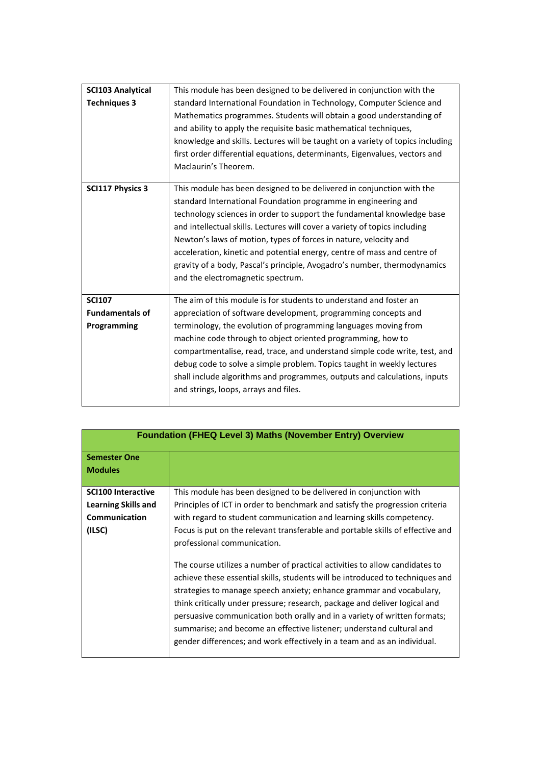| <b>SCI103 Analytical</b> | This module has been designed to be delivered in conjunction with the          |
|--------------------------|--------------------------------------------------------------------------------|
| <b>Techniques 3</b>      | standard International Foundation in Technology, Computer Science and          |
|                          | Mathematics programmes. Students will obtain a good understanding of           |
|                          | and ability to apply the requisite basic mathematical techniques,              |
|                          | knowledge and skills. Lectures will be taught on a variety of topics including |
|                          | first order differential equations, determinants, Eigenvalues, vectors and     |
|                          | Maclaurin's Theorem.                                                           |
|                          |                                                                                |
| <b>SCI117 Physics 3</b>  | This module has been designed to be delivered in conjunction with the          |
|                          | standard International Foundation programme in engineering and                 |
|                          | technology sciences in order to support the fundamental knowledge base         |
|                          | and intellectual skills. Lectures will cover a variety of topics including     |
|                          | Newton's laws of motion, types of forces in nature, velocity and               |
|                          | acceleration, kinetic and potential energy, centre of mass and centre of       |
|                          | gravity of a body, Pascal's principle, Avogadro's number, thermodynamics       |
|                          | and the electromagnetic spectrum.                                              |
|                          |                                                                                |
| <b>SCI107</b>            | The aim of this module is for students to understand and foster an             |
| <b>Fundamentals of</b>   | appreciation of software development, programming concepts and                 |
| Programming              | terminology, the evolution of programming languages moving from                |
|                          | machine code through to object oriented programming, how to                    |
|                          | compartmentalise, read, trace, and understand simple code write, test, and     |
|                          | debug code to solve a simple problem. Topics taught in weekly lectures         |
|                          | shall include algorithms and programmes, outputs and calculations, inputs      |
|                          | and strings, loops, arrays and files.                                          |
|                          |                                                                                |

| <b>Foundation (FHEQ Level 3) Maths (November Entry) Overview</b>                   |                                                                                                                                                                                                                                                                                                                                                                                                                                                                                                                                                                                                                                                                                                                                                                                                                                                                                                   |
|------------------------------------------------------------------------------------|---------------------------------------------------------------------------------------------------------------------------------------------------------------------------------------------------------------------------------------------------------------------------------------------------------------------------------------------------------------------------------------------------------------------------------------------------------------------------------------------------------------------------------------------------------------------------------------------------------------------------------------------------------------------------------------------------------------------------------------------------------------------------------------------------------------------------------------------------------------------------------------------------|
| <b>Semester One</b><br><b>Modules</b>                                              |                                                                                                                                                                                                                                                                                                                                                                                                                                                                                                                                                                                                                                                                                                                                                                                                                                                                                                   |
| <b>SCI100 Interactive</b><br><b>Learning Skills and</b><br>Communication<br>(ILSC) | This module has been designed to be delivered in conjunction with<br>Principles of ICT in order to benchmark and satisfy the progression criteria<br>with regard to student communication and learning skills competency.<br>Focus is put on the relevant transferable and portable skills of effective and<br>professional communication.<br>The course utilizes a number of practical activities to allow candidates to<br>achieve these essential skills, students will be introduced to techniques and<br>strategies to manage speech anxiety; enhance grammar and vocabulary,<br>think critically under pressure; research, package and deliver logical and<br>persuasive communication both orally and in a variety of written formats;<br>summarise; and become an effective listener; understand cultural and<br>gender differences; and work effectively in a team and as an individual. |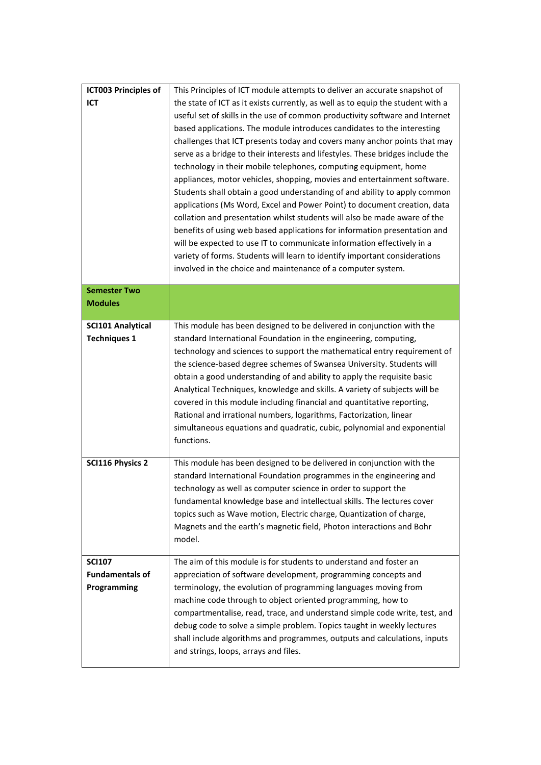| <b>ICT003 Principles of</b><br>ICT                     | This Principles of ICT module attempts to deliver an accurate snapshot of<br>the state of ICT as it exists currently, as well as to equip the student with a<br>useful set of skills in the use of common productivity software and Internet<br>based applications. The module introduces candidates to the interesting<br>challenges that ICT presents today and covers many anchor points that may<br>serve as a bridge to their interests and lifestyles. These bridges include the<br>technology in their mobile telephones, computing equipment, home<br>appliances, motor vehicles, shopping, movies and entertainment software.<br>Students shall obtain a good understanding of and ability to apply common<br>applications (Ms Word, Excel and Power Point) to document creation, data<br>collation and presentation whilst students will also be made aware of the<br>benefits of using web based applications for information presentation and<br>will be expected to use IT to communicate information effectively in a<br>variety of forms. Students will learn to identify important considerations<br>involved in the choice and maintenance of a computer system. |
|--------------------------------------------------------|-----------------------------------------------------------------------------------------------------------------------------------------------------------------------------------------------------------------------------------------------------------------------------------------------------------------------------------------------------------------------------------------------------------------------------------------------------------------------------------------------------------------------------------------------------------------------------------------------------------------------------------------------------------------------------------------------------------------------------------------------------------------------------------------------------------------------------------------------------------------------------------------------------------------------------------------------------------------------------------------------------------------------------------------------------------------------------------------------------------------------------------------------------------------------------------|
| <b>Semester Two</b><br><b>Modules</b>                  |                                                                                                                                                                                                                                                                                                                                                                                                                                                                                                                                                                                                                                                                                                                                                                                                                                                                                                                                                                                                                                                                                                                                                                                   |
| <b>SCI101 Analytical</b><br><b>Techniques 1</b>        | This module has been designed to be delivered in conjunction with the<br>standard International Foundation in the engineering, computing,<br>technology and sciences to support the mathematical entry requirement of<br>the science-based degree schemes of Swansea University. Students will<br>obtain a good understanding of and ability to apply the requisite basic<br>Analytical Techniques, knowledge and skills. A variety of subjects will be<br>covered in this module including financial and quantitative reporting,<br>Rational and irrational numbers, logarithms, Factorization, linear<br>simultaneous equations and quadratic, cubic, polynomial and exponential<br>functions.                                                                                                                                                                                                                                                                                                                                                                                                                                                                                  |
| <b>SCI116 Physics 2</b>                                | This module has been designed to be delivered in conjunction with the<br>standard International Foundation programmes in the engineering and<br>technology as well as computer science in order to support the<br>fundamental knowledge base and intellectual skills. The lectures cover<br>topics such as Wave motion, Electric charge, Quantization of charge,<br>Magnets and the earth's magnetic field, Photon interactions and Bohr<br>model.                                                                                                                                                                                                                                                                                                                                                                                                                                                                                                                                                                                                                                                                                                                                |
| <b>SCI107</b><br><b>Fundamentals of</b><br>Programming | The aim of this module is for students to understand and foster an<br>appreciation of software development, programming concepts and<br>terminology, the evolution of programming languages moving from<br>machine code through to object oriented programming, how to<br>compartmentalise, read, trace, and understand simple code write, test, and<br>debug code to solve a simple problem. Topics taught in weekly lectures<br>shall include algorithms and programmes, outputs and calculations, inputs<br>and strings, loops, arrays and files.                                                                                                                                                                                                                                                                                                                                                                                                                                                                                                                                                                                                                              |